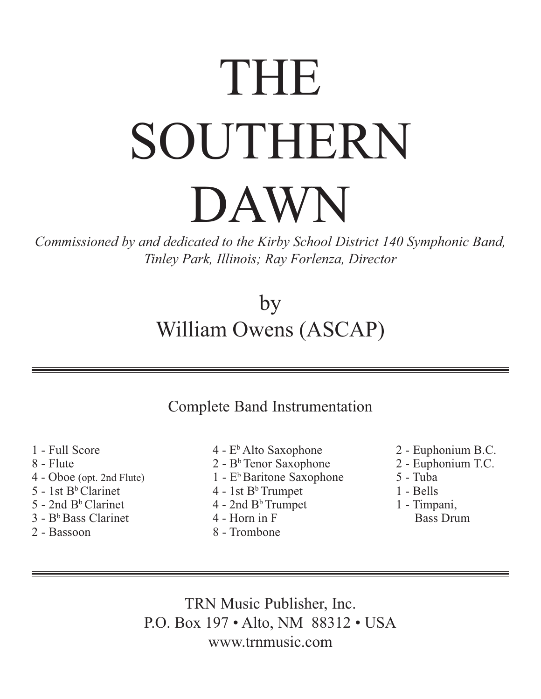# THE SOUTHERN DAWN

*Commissioned by and dedicated to the Kirby School District 140 Symphonic Band, Tinley Park, Illinois; Ray Forlenza, Director*

## by William Owens (ASCAP)

Complete Band Instrumentation

- 1 Full Score
- 8 Flute
- 4 Oboe (opt. 2nd Flute)
- $5 1$ st B<sup>b</sup> Clarinet
- $5 2$ nd B<sup>b</sup> Clarinet
- $3 B<sup>b</sup>$  Bass Clarinet
- 2 Bassoon
- 4 Eb Alto Saxophone
- $2 B<sup>b</sup>$  Tenor Saxophone
- $1$   $E<sup>b</sup>$  Baritone Saxophone
- $4 1$ st B<sup>b</sup> Trumpet
- $4 2$ nd  $B<sup>b</sup>$  Trumpet
- 4 Horn in F
- 8 Trombone
- 2 Euphonium B.C.
- 2 Euphonium T.C.
- 5 Tuba
- 1 Bells
- 1 Timpani,

Bass Drum

TRN Music Publisher, Inc. P.O. Box 197 • Alto, NM 88312 • USA www.trnmusic.com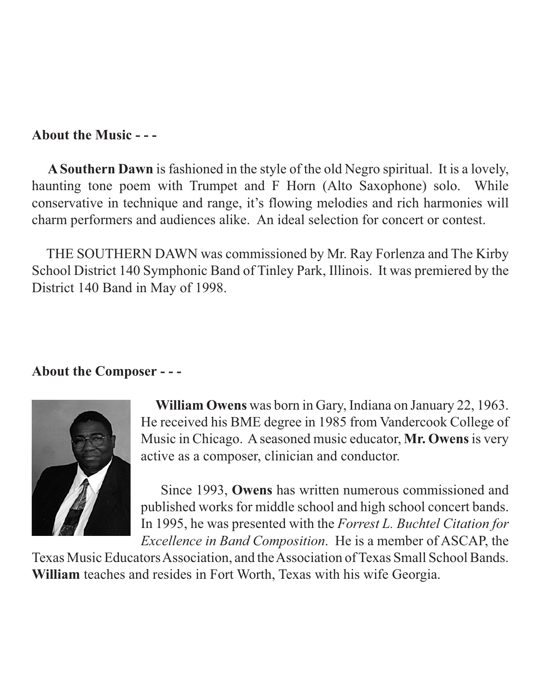#### **About the Music - - -**

 **A Southern Dawn** is fashioned in the style of the old Negro spiritual. It is a lovely, haunting tone poem with Trumpet and F Horn (Alto Saxophone) solo. While conservative in technique and range, it's flowing melodies and rich harmonies will charm performers and audiences alike. An ideal selection for concert or contest.

 THE SOUTHERN DAWN was commissioned by Mr. Ray Forlenza and The Kirby School District 140 Symphonic Band of Tinley Park, Illinois. It was premiered by the District 140 Band in May of 1998.

#### **About the Composer - - -**



 **William Owens** was born in Gary, Indiana on January 22, 1963. He received his BME degree in 1985 from Vandercook College of Music in Chicago. A seasoned music educator, **Mr. Owens** is very active as a composer, clinician and conductor.

 Since 1993, **Owens** has written numerous commissioned and published works for middle school and high school concert bands. In 1995, he was presented with the *Forrest L. Buchtel Citation for Excellence in Band Composition*. He is a member of ASCAP, the

Texas Music Educators Association, and the Association of Texas Small School Bands. **William** teaches and resides in Fort Worth, Texas with his wife Georgia.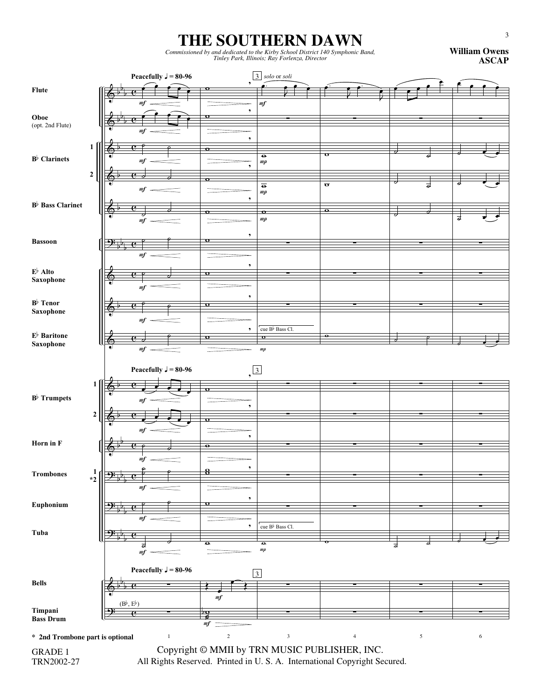|  | Copyright © MMII by TRN MUSIC PUBLISHER, INC.                            |
|--|--------------------------------------------------------------------------|
|  | All Rights Reserved. Printed in U.S. A. International Copyright Secured. |

3

**William Owens ASCAP**

### **THE SOUTHERN DAWN**

*Commissioned by and dedicated to the Kirby School District 140 Symphonic Band, Tinley Park, Illinois; Ray Forlenza, Director*

Peacefully  $J = 80-96$  $\overrightarrow{3}$  *solo* or *soli* ,  $\overline{\mathbf{e} \cdot \mathbf{e} \cdot \mathbf{e}}$  $\bigodot$  $\widehat{\mathbf{e}}$  $\begin{array}{c} \begin{array}{c} \begin{array}{c} \end{array} \end{array}$  $\epsilon$  $\overline{\cdot}$ b w **Flute** è b  $\overline{e}$ b & J mf mf , <sup>œ</sup> <sup>œ</sup> <sup>œ</sup> <sup>œ</sup> <sup>œ</sup> , b  $\overline{\mathbf{o}}$ **Oboe** b c ∑ ∑ ∑ ∑ b & (opt. 2nd Flute) mf ,  $\overline{\phantom{a}}$  $\overline{\qquad \qquad }$ b  $\overline{\mathbf{e}}$ **1** & 。<br>。 *。*  $\overline{\phantom{a}}$ w w  $\overline{\bullet}$ **B**<sup>b</sup> Clarinets mf ,  $_{\mathit{mp}}$ , b  $\overline{e}$ **2**  $\overline{a}$ &  $\overline{\mathbf{o}}$ ˙ ˙  $\overrightarrow{c}$  $\overline{\bullet}$  $\overline{\bullet}$  $m<sub>i</sub>$  $_{mp}$ , **B**<sup>b</sup> Bass Clarinet b  $\overline{e}$ &  $\overline{a}$ w w  $\overline{\phantom{a}}$   $\overline{\phantom{a}}$  $\overline{\mathbf{o}}$  $\frac{1}{e}$ mf  $mp$ ,  $\rho$   $\rho$  $\overline{\mathbf{o}}$ 9: **Bassoon** b c ∑ ∑ ∑ ∑ b b mf , ,  $\mathbf{E}^\flat$ Alto  $^{\circ}$   $^{\circ}$  $\overline{e}$ ∑ ∑ ∑ ∑  $\overline{\mathbf{o}}$ & **Saxophone** mf , ,  $^{\circ}$   $^{\circ}$ **BÓ Tenor** b  $\overline{\mathbf{e}}$  $\overline{\mathbf{o}}$ ∑ ∑ ∑ ∑ & **Saxophone** mf , cue B<sup>b</sup> Bass Cl. ,  $\frac{1}{\sigma}$ **EÓ Baritone**  $\overline{\mathbf{e}}$  $\overline{e}$  $\frac{1}{2}$   $\frac{1}{2}$ w  $\overline{\mathbf{o}}$ & 。<br>。 <u>。</u> **Saxophone**  $m f$  $mp$ 3 Peacefully  $J = 80-96$ , **1** b c ∑ ∑ ∑ ∑ <sup>œ</sup> <sup>œ</sup> <sup>œ</sup> <sup>œ</sup> <sup>œ</sup> & w **BÓ Trumpets** mf , , b  $\overline{e}$ ∑ ∑ ∑ ∑ **2** <sup>œ</sup> <sup>œ</sup> <sup>œ</sup> <sup>œ</sup> <sup>œ</sup> & w mf , , b **Horn in F** b c  $^{\circ}$   $^{\circ}$  $\overline{\bullet}$ ∑ ∑ ∑ ∑ &  $\eta f$ , e<br>E ٠  $\frac{\theta}{\delta}$ 9: **Trombones 1** b  $\bf{8}$  $\overline{\mathbf{e}}$ ∑ ∑ ∑ ∑ b **\*2** b  $\overline{m}$ , ٠  $\rho$   $\rho$  $\overline{\mathbf{o}}$ 9: **Euphonium** b  $\overline{e}$ ∑ ∑ ∑ ∑ b b  $\overline{m}$ , , cue B $\flat$  Bass Cl 9: **Tuba** b b  $\overline{c}$ b 。 <u>。</u> **Ö** w w  $\frac{\Theta}{mp}$  $\frac{1}{\phi}$   $\qquad$   $\theta$  $\overline{mf}$ É **Peacefully**  $J = 80-96$ 3 b  $\left\{ \begin{array}{c} \overline{a} & \overline{b} \\ \overline{c} & \overline{c} \end{array} \right\}$ **Bells** b c ∑ ∑ ∑ ∑ ∑ b &  $_{mf}$  $(B^{\flat}, E^{\flat})$ 9: **Timpani** bw ∑ ∑ ∑ ∑ ∑ c **Bass Drum** F æ 1 2 3 4 5 6 **\* 2nd Trombone part is optional**

TRN2002-27

GRADE 1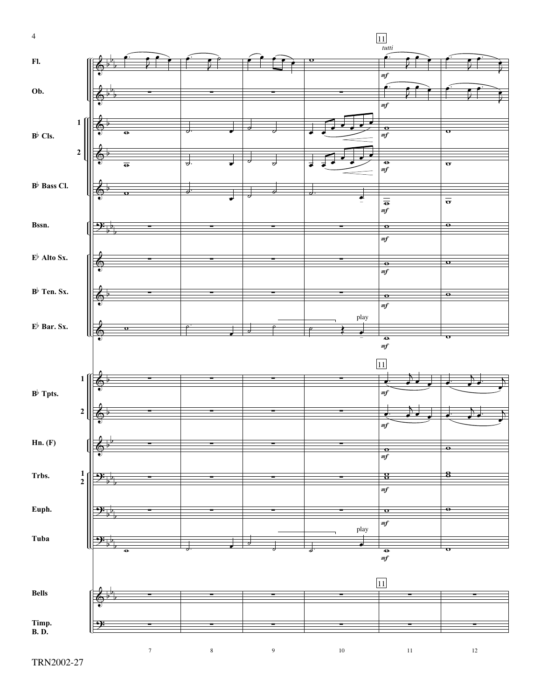

TRN2002-27